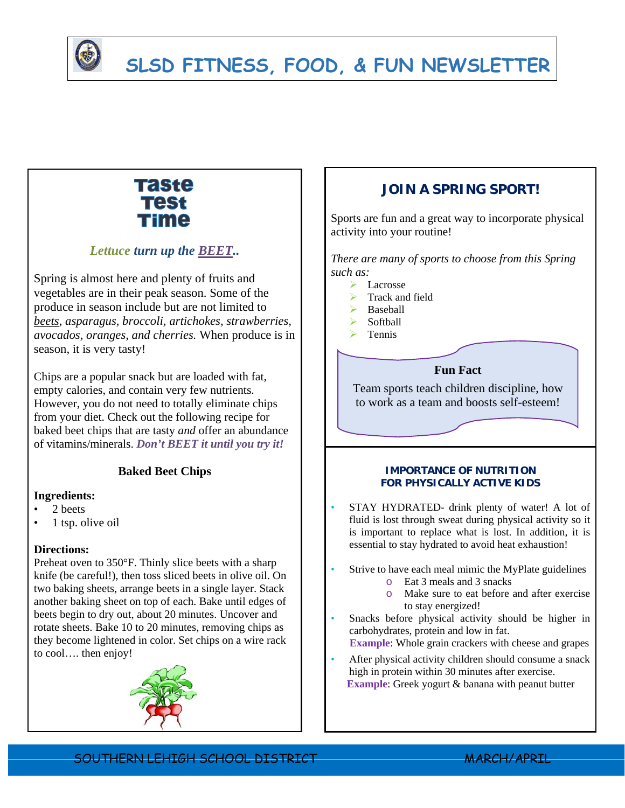

# **SLSD FITNESS, FOOD, & FUN NEWSLETTER**

# Taste **Test** Time

## *Lettuce turn up the BEET..*

Spring is almost here and plenty of fruits and vegetables are in their peak season. Some of the produce in season include but are not limited to *beets*, *asparagus, broccoli, artichokes, strawberries, avocados, oranges, and cherries.* When produce is in season, it is very tasty!

Chips are a popular snack but are loaded with fat, empty calories, and contain very few nutrients. However, you do not need to totally eliminate chips from your diet. Check out the following recipe for baked beet chips that are tasty *and* offer an abundance of vitamins/minerals. *Don't BEET it until you try it!* 

### **Baked Beet Chips**

#### **Ingredients:**

- 2 beets
- 1 tsp. olive oil

#### **Directions:**

Preheat oven to 350°F. Thinly slice beets with a sharp knife (be careful!), then toss sliced beets in olive oil. On two baking sheets, arrange beets in a single layer. Stack another baking sheet on top of each. Bake until edges of beets begin to dry out, about 20 minutes. Uncover and rotate sheets. Bake 10 to 20 minutes, removing chips as they become lightened in color. Set chips on a wire rack to cool…. then enjoy!



## **JOIN A SPRING SPORT!**

Sports are fun and a great way to incorporate physical activity into your routine!

*There are many of sports to choose from this Spring such as:* 

- > Lacrosse
- Track and field
- $\triangleright$  Baseball
- $\triangleright$  Softball
- $\triangleright$  Tennis

#### **Fun Fact**

Team sports teach children discipline, how to work as a team and boosts self-esteem!

#### **IMPORTANCE OF NUTRITION FOR PHYSICALLY ACTIVE KIDS**

- STAY HYDRATED- drink plenty of water! A lot of fluid is lost through sweat during physical activity so it is important to replace what is lost. In addition, it is essential to stay hydrated to avoid heat exhaustion!
- Strive to have each meal mimic the MyPlate guidelines
	- o Eat 3 meals and 3 snacks
	- o Make sure to eat before and after exercise to stay energized!
- Snacks before physical activity should be higher in carbohydrates, protein and low in fat.

 **Example**: Whole grain crackers with cheese and grapes

After physical activity children should consume a snack high in protein within 30 minutes after exercise. **Example**: Greek yogurt & banana with peanut butter

SOUTHERN LEHIGH SCHOOL DISTRICT MARCH/APRIL